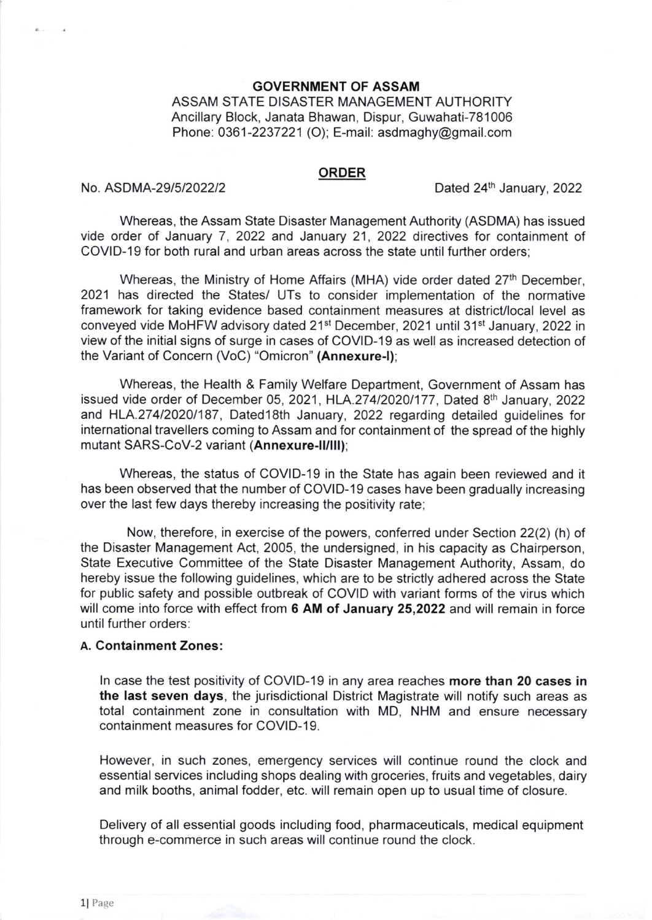#### GOVERNMENT OF ASSAM

ASSAM STATE DISASTER MANAGEMENT AUTHORITY Ancillary Block, Janata Bhawan, Dispur, Guwahati-781006 Phone:  $0361 - 2237221$  (O); E-mail: asdmaghy@gmail.com

#### ORDER

No. ASDMA-29/5/2022/2  $Dated 24<sup>th</sup> January, 2022$ 

Whereas, the Assam State Disaster Management Authority (ASDMA) has issued vide order of January 7,2022 and January 21,2022 directives for containment of COVID-19 for both rural and urban areas across the state until further orders;

Whereas, the Ministry of Home Affairs (MHA) vide order dated 27<sup>th</sup> December, 2021 has directed the States/ UTs to consider implementation of the normative framework for taking evidence based containment measures at district/local level as conveyed vide MoHFW advisory dated 21<sup>st</sup> December, 2021 until 31<sup>st</sup> January, 2022 in view of the initial signs of surge in cases of COVID-19 as well as increased detection of the Variant of Concern (VoC) "Omicron" (Annexure-l);

Whereas, the Health & Family Welfare Department, Government of Assam has issued vide order of December 05, 2021, HLA.274/2020/177, Dated 8<sup>th</sup> January, 2022 and HLA.274/2020/187, Dated18th January, 2022 regarding detailed guidelines for international travellers coming to Assam and for containment of the spread of the highly mutant SARS-CoV-2 variant (Annexure-ll/lll);

Whereas, the status of COVID-19 in the State has again been reviewed and it has been observed that the number of COVID-19 cases have been gradually increasing over the last few days thereby increasing the positivity rate;

Now, therefore, in exercise of the powers, conferred under Section 22(2) (h) of the Disaster Management Act, 2005, the undersigned, in his capacity as Chairperson, State Executive Committee of the State Disaster Management Authority, Assam, do hereby issue the following guidelines, which are to be strictly adhered across the State for public safety and possible outbreak of COVID with variant forms of the virus which will come into force with effect from 6 AM of January 25,2022 and will remain in force until further orders:

## A. Containment Zones:

ln case the test positivity of COVID-19 in any area reaches more than 20 cases in the last seven days, the jurisdictional District Magistrate will notify such areas as total containment zone in consultation with MD, NHM and ensure necessary containment measures for COVID-19.

However, in such zones, emergency services will continue round the clock and essential services including shops dealing with groceries, fruits and vegetables, dairy and milk booths, animal fodder, etc. will remain open up to usual time of closure.

Delivery of all essential goods including food, pharmaceuticals, medical equipment through e-commerce in such areas will continue round the clock.